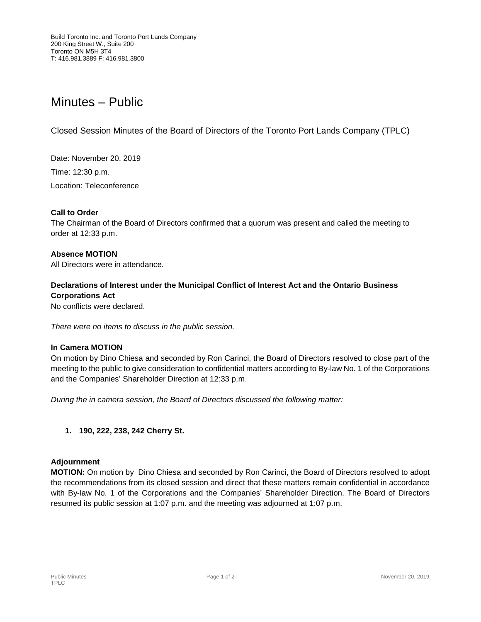# Minutes – Public

Closed Session Minutes of the Board of Directors of the Toronto Port Lands Company (TPLC)

Date: November 20, 2019 Time: 12:30 p.m.

Location: Teleconference

## **Call to Order**

The Chairman of the Board of Directors confirmed that a quorum was present and called the meeting to order at 12:33 p.m.

## **Absence MOTION**

All Directors were in attendance.

## **Declarations of Interest under the Municipal Conflict of Interest Act and the Ontario Business Corporations Act**

No conflicts were declared.

*There were no items to discuss in the public session.*

#### **In Camera MOTION**

On motion by Dino Chiesa and seconded by Ron Carinci, the Board of Directors resolved to close part of the meeting to the public to give consideration to confidential matters according to By-law No. 1 of the Corporations and the Companies' Shareholder Direction at 12:33 p.m.

*During the in camera session, the Board of Directors discussed the following matter:*

#### **1. 190, 222, 238, 242 Cherry St.**

#### **Adjournment**

**MOTION:** On motion by Dino Chiesa and seconded by Ron Carinci, the Board of Directors resolved to adopt the recommendations from its closed session and direct that these matters remain confidential in accordance with By-law No. 1 of the Corporations and the Companies' Shareholder Direction. The Board of Directors resumed its public session at 1:07 p.m. and the meeting was adjourned at 1:07 p.m.